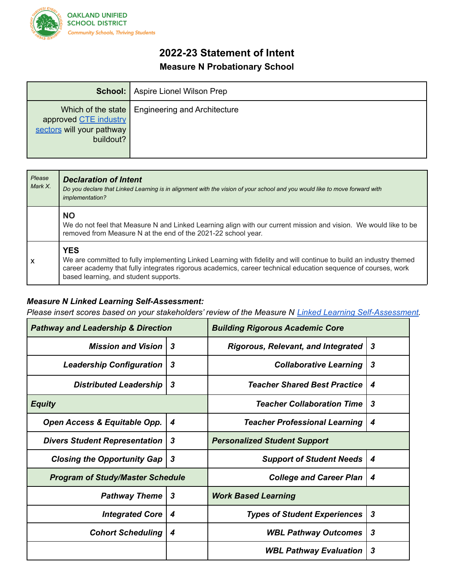

## **2022-23 Statement of Intent Measure N Probationary School**

|                                                                 | <b>School:</b> Aspire Lionel Wilson Prep          |
|-----------------------------------------------------------------|---------------------------------------------------|
| approved CTE industry<br>sectors will your pathway<br>buildout? | Which of the state   Engineering and Architecture |

| Please<br>Mark X.         | <b>Declaration of Intent</b><br>Do you declare that Linked Learning is in alignment with the vision of your school and you would like to move forward with<br>implementation?                                                                                                              |  |
|---------------------------|--------------------------------------------------------------------------------------------------------------------------------------------------------------------------------------------------------------------------------------------------------------------------------------------|--|
|                           | <b>NO</b><br>We do not feel that Measure N and Linked Learning align with our current mission and vision. We would like to be<br>removed from Measure N at the end of the 2021-22 school year.                                                                                             |  |
| $\boldsymbol{\mathsf{x}}$ | <b>YES</b><br>We are committed to fully implementing Linked Learning with fidelity and will continue to build an industry themed<br>career academy that fully integrates rigorous academics, career technical education sequence of courses, work<br>based learning, and student supports. |  |

## *Measure N Linked Learning Self-Assessment:*

*Please insert scores based on your stakeholders' review of the Measure N Linked Learning Self-Assessment.*

| <b>Pathway and Leadership &amp; Direction</b> |                  | <b>Building Rigorous Academic Core</b>    |                  |
|-----------------------------------------------|------------------|-------------------------------------------|------------------|
| <b>Mission and Vision</b>                     | 3                | <b>Rigorous, Relevant, and Integrated</b> | $\boldsymbol{3}$ |
| <b>Leadership Configuration</b>               | $\boldsymbol{3}$ | <b>Collaborative Learning</b>             | 3                |
| <b>Distributed Leadership</b>                 | $\boldsymbol{3}$ | <b>Teacher Shared Best Practice</b>       | 4                |
| <b>Equity</b>                                 |                  | <b>Teacher Collaboration Time</b>         | 3                |
| Open Access & Equitable Opp.                  | 4                | <b>Teacher Professional Learning</b>      | 4                |
| <b>Divers Student Representation</b><br>3     |                  | <b>Personalized Student Support</b>       |                  |
| <b>Closing the Opportunity Gap</b>            | $\boldsymbol{3}$ | <b>Support of Student Needs</b>           | 4                |
| <b>Program of Study/Master Schedule</b>       |                  | <b>College and Career Plan</b>            | 4                |
| <b>Pathway Theme</b>                          | $\boldsymbol{3}$ | <b>Work Based Learning</b>                |                  |
| <b>Integrated Core</b>                        | 4                | <b>Types of Student Experiences</b>       | $\boldsymbol{3}$ |
| <b>Cohort Scheduling</b>                      | 4                | <b>WBL Pathway Outcomes</b>               | 3                |
|                                               |                  | <b>WBL Pathway Evaluation</b>             | 3                |